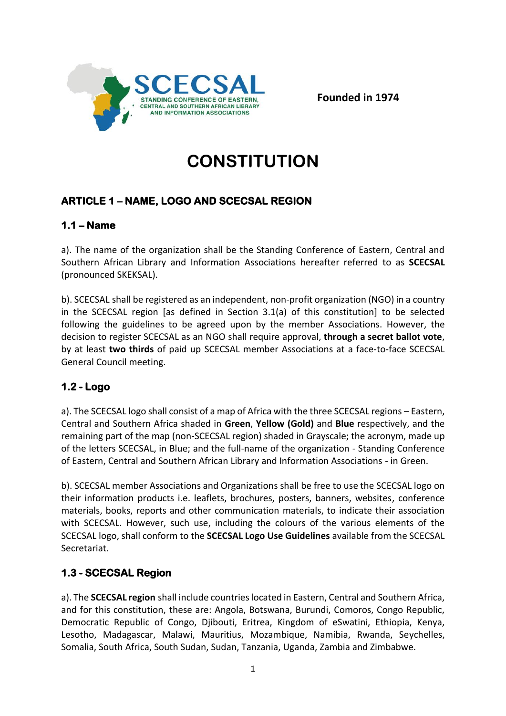

**Founded in 1974**

# **CONSTITUTION**

# **ARTICLE 1 – NAME, LOGO AND SCECSAL REGION**

## **1.1 – Name**

a). The name of the organization shall be the Standing Conference of Eastern, Central and Southern African Library and Information Associations hereafter referred to as **SCECSAL** (pronounced SKEKSAL).

b). SCECSAL shall be registered as an independent, non-profit organization (NGO) in a country in the SCECSAL region [as defined in Section 3.1(a) of this constitution] to be selected following the guidelines to be agreed upon by the member Associations. However, the decision to register SCECSAL as an NGO shall require approval, **through a secret ballot vote**, by at least **two thirds** of paid up SCECSAL member Associations at a face-to-face SCECSAL General Council meeting.

## **1.2 - Logo**

a). The SCECSAL logo shall consist of a map of Africa with the three SCECSAL regions – Eastern, Central and Southern Africa shaded in **Green**, **Yellow (Gold)** and **Blue** respectively, and the remaining part of the map (non-SCECSAL region) shaded in Grayscale; the acronym, made up of the letters SCECSAL, in Blue; and the full-name of the organization - Standing Conference of Eastern, Central and Southern African Library and Information Associations - in Green.

b). SCECSAL member Associations and Organizations shall be free to use the SCECSAL logo on their information products i.e. leaflets, brochures, posters, banners, websites, conference materials, books, reports and other communication materials, to indicate their association with SCECSAL. However, such use, including the colours of the various elements of the SCECSAL logo, shall conform to the **SCECSAL Logo Use Guidelines** available from the SCECSAL Secretariat.

## **1.3 - SCECSAL Region**

a). The **SCECSAL region** shall include countries located in Eastern, Central and Southern Africa, and for this constitution, these are: Angola, Botswana, Burundi, Comoros, Congo Republic, Democratic Republic of Congo, Djibouti, Eritrea, Kingdom of eSwatini, Ethiopia, Kenya, Lesotho, Madagascar, Malawi, Mauritius, Mozambique, Namibia, Rwanda, Seychelles, Somalia, South Africa, South Sudan, Sudan, Tanzania, Uganda, Zambia and Zimbabwe.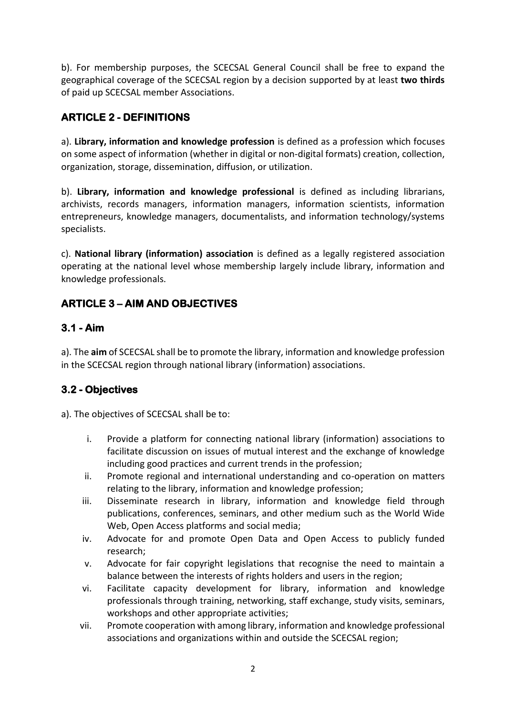b). For membership purposes, the SCECSAL General Council shall be free to expand the geographical coverage of the SCECSAL region by a decision supported by at least **two thirds** of paid up SCECSAL member Associations.

# **ARTICLE 2 - DEFINITIONS**

a). **Library, information and knowledge profession** is defined as a profession which focuses on some aspect of information (whether in digital or non-digital formats) creation, collection, organization, storage, dissemination, diffusion, or utilization.

b). **Library, information and knowledge professional** is defined as including librarians, archivists, records managers, information managers, information scientists, information entrepreneurs, knowledge managers, documentalists, and information technology/systems specialists.

c). **National library (information) association** is defined as a legally registered association operating at the national level whose membership largely include library, information and knowledge professionals.

# **ARTICLE 3 – AIM AND OBJECTIVES**

# **3.1 - Aim**

a). The **aim** of SCECSAL shall be to promote the library, information and knowledge profession in the SCECSAL region through national library (information) associations.

# **3.2 - Objectives**

a). The objectives of SCECSAL shall be to:

- i. Provide a platform for connecting national library (information) associations to facilitate discussion on issues of mutual interest and the exchange of knowledge including good practices and current trends in the profession;
- ii. Promote regional and international understanding and co-operation on matters relating to the library, information and knowledge profession;
- iii. Disseminate research in library, information and knowledge field through publications, conferences, seminars, and other medium such as the World Wide Web, Open Access platforms and social media;
- iv. Advocate for and promote Open Data and Open Access to publicly funded research;
- v. Advocate for fair copyright legislations that recognise the need to maintain a balance between the interests of rights holders and users in the region;
- vi. Facilitate capacity development for library, information and knowledge professionals through training, networking, staff exchange, study visits, seminars, workshops and other appropriate activities;
- vii. Promote cooperation with among library, information and knowledge professional associations and organizations within and outside the SCECSAL region;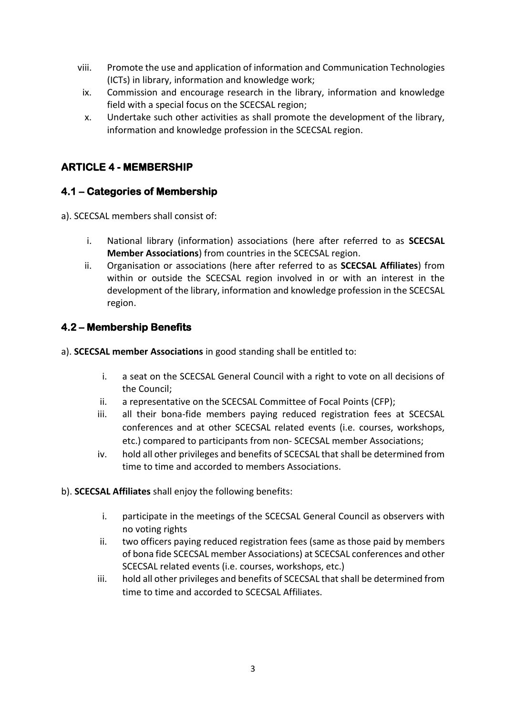- viii. Promote the use and application of information and Communication Technologies (ICTs) in library, information and knowledge work;
- ix. Commission and encourage research in the library, information and knowledge field with a special focus on the SCECSAL region;
- x. Undertake such other activities as shall promote the development of the library, information and knowledge profession in the SCECSAL region.

## **ARTICLE 4 - MEMBERSHIP**

#### **4.1 – Categories of Membership**

a). SCECSAL members shall consist of:

- i. National library (information) associations (here after referred to as **SCECSAL Member Associations**) from countries in the SCECSAL region.
- ii. Organisation or associations (here after referred to as **SCECSAL Affiliates**) from within or outside the SCECSAL region involved in or with an interest in the development of the library, information and knowledge profession in the SCECSAL region.

#### **4.2 – Membership Benefits**

a). **SCECSAL member Associations** in good standing shall be entitled to:

- i. a seat on the SCECSAL General Council with a right to vote on all decisions of the Council;
- ii. a representative on the SCECSAL Committee of Focal Points (CFP);
- iii. all their bona-fide members paying reduced registration fees at SCECSAL conferences and at other SCECSAL related events (i.e. courses, workshops, etc.) compared to participants from non- SCECSAL member Associations;
- iv. hold all other privileges and benefits of SCECSAL that shall be determined from time to time and accorded to members Associations.
- b). **SCECSAL Affiliates** shall enjoy the following benefits:
	- i. participate in the meetings of the SCECSAL General Council as observers with no voting rights
	- ii. two officers paying reduced registration fees (same as those paid by members of bona fide SCECSAL member Associations) at SCECSAL conferences and other SCECSAL related events (i.e. courses, workshops, etc.)
	- iii. hold all other privileges and benefits of SCECSAL that shall be determined from time to time and accorded to SCECSAL Affiliates.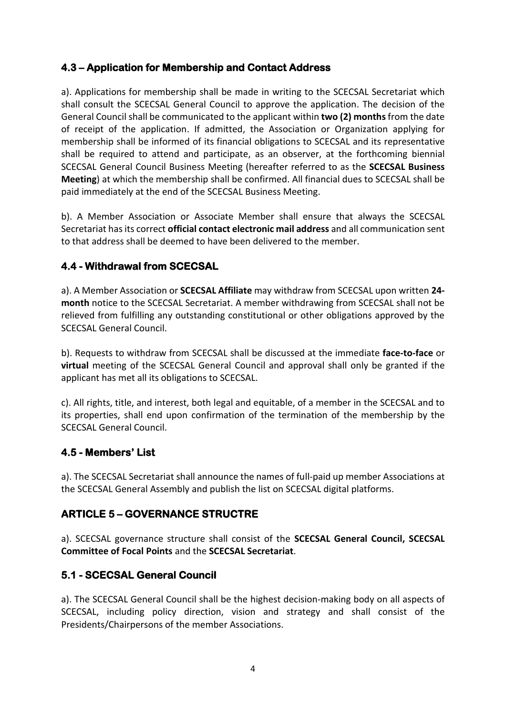#### **4.3 – Application for Membership and Contact Address**

a). Applications for membership shall be made in writing to the SCECSAL Secretariat which shall consult the SCECSAL General Council to approve the application. The decision of the General Council shall be communicated to the applicant within **two (2) months**from the date of receipt of the application. If admitted, the Association or Organization applying for membership shall be informed of its financial obligations to SCECSAL and its representative shall be required to attend and participate, as an observer, at the forthcoming biennial SCECSAL General Council Business Meeting (hereafter referred to as the **SCECSAL Business Meeting**) at which the membership shall be confirmed. All financial dues to SCECSAL shall be paid immediately at the end of the SCECSAL Business Meeting.

b). A Member Association or Associate Member shall ensure that always the SCECSAL Secretariat has its correct **official contact electronic mail address** and all communication sent to that address shall be deemed to have been delivered to the member.

## **4.4 - Withdrawal from SCECSAL**

a). A Member Association or **SCECSAL Affiliate** may withdraw from SCECSAL upon written **24 month** notice to the SCECSAL Secretariat. A member withdrawing from SCECSAL shall not be relieved from fulfilling any outstanding constitutional or other obligations approved by the SCECSAL General Council.

b). Requests to withdraw from SCECSAL shall be discussed at the immediate **face-to-face** or **virtual** meeting of the SCECSAL General Council and approval shall only be granted if the applicant has met all its obligations to SCECSAL.

c). All rights, title, and interest, both legal and equitable, of a member in the SCECSAL and to its properties, shall end upon confirmation of the termination of the membership by the SCECSAL General Council.

## **4.5 - Members' List**

a). The SCECSAL Secretariat shall announce the names of full-paid up member Associations at the SCECSAL General Assembly and publish the list on SCECSAL digital platforms.

## **ARTICLE 5 – GOVERNANCE STRUCTRE**

a). SCECSAL governance structure shall consist of the **SCECSAL General Council, SCECSAL Committee of Focal Points** and the **SCECSAL Secretariat**.

## **5.1 - SCECSAL General Council**

a). The SCECSAL General Council shall be the highest decision-making body on all aspects of SCECSAL, including policy direction, vision and strategy and shall consist of the Presidents/Chairpersons of the member Associations.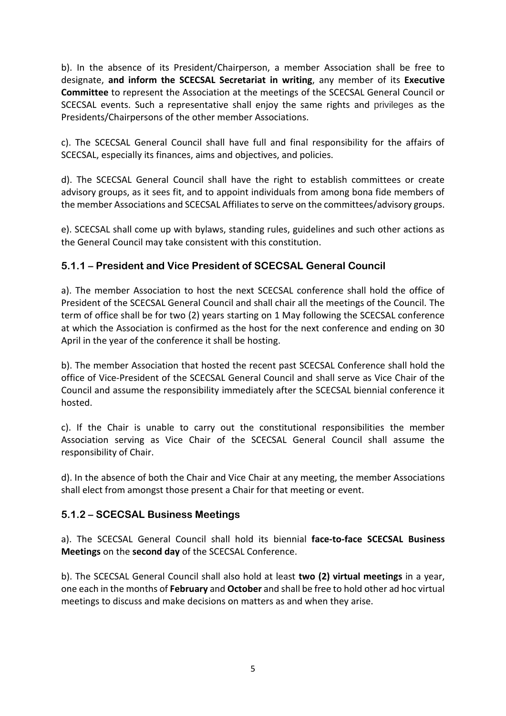b). In the absence of its President/Chairperson, a member Association shall be free to designate, **and inform the SCECSAL Secretariat in writing**, any member of its **Executive Committee** to represent the Association at the meetings of the SCECSAL General Council or SCECSAL events. Such a representative shall enjoy the same rights and privileges as the Presidents/Chairpersons of the other member Associations.

c). The SCECSAL General Council shall have full and final responsibility for the affairs of SCECSAL, especially its finances, aims and objectives, and policies.

d). The SCECSAL General Council shall have the right to establish committees or create advisory groups, as it sees fit, and to appoint individuals from among bona fide members of the member Associations and SCECSAL Affiliates to serve on the committees/advisory groups.

e). SCECSAL shall come up with bylaws, standing rules, guidelines and such other actions as the General Council may take consistent with this constitution.

#### **5.1.1 – President and Vice President of SCECSAL General Council**

a). The member Association to host the next SCECSAL conference shall hold the office of President of the SCECSAL General Council and shall chair all the meetings of the Council. The term of office shall be for two (2) years starting on 1 May following the SCECSAL conference at which the Association is confirmed as the host for the next conference and ending on 30 April in the year of the conference it shall be hosting.

b). The member Association that hosted the recent past SCECSAL Conference shall hold the office of Vice-President of the SCECSAL General Council and shall serve as Vice Chair of the Council and assume the responsibility immediately after the SCECSAL biennial conference it hosted.

c). If the Chair is unable to carry out the constitutional responsibilities the member Association serving as Vice Chair of the SCECSAL General Council shall assume the responsibility of Chair.

d). In the absence of both the Chair and Vice Chair at any meeting, the member Associations shall elect from amongst those present a Chair for that meeting or event.

#### **5.1.2 – SCECSAL Business Meetings**

a). The SCECSAL General Council shall hold its biennial **face-to-face SCECSAL Business Meetings** on the **second day** of the SCECSAL Conference.

b). The SCECSAL General Council shall also hold at least **two (2) virtual meetings** in a year, one each in the months of **February** and **October** and shall be free to hold other ad hoc virtual meetings to discuss and make decisions on matters as and when they arise.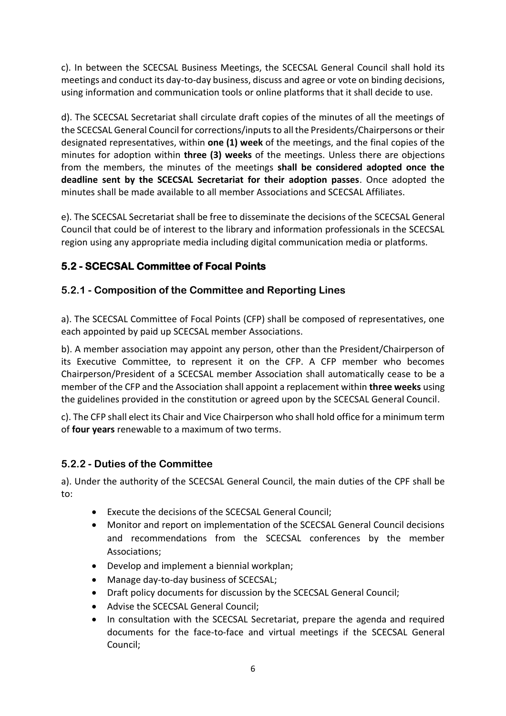c). In between the SCECSAL Business Meetings, the SCECSAL General Council shall hold its meetings and conduct its day-to-day business, discuss and agree or vote on binding decisions, using information and communication tools or online platforms that it shall decide to use.

d). The SCECSAL Secretariat shall circulate draft copies of the minutes of all the meetings of the SCECSAL General Council for corrections/inputs to all the Presidents/Chairpersons or their designated representatives, within **one (1) week** of the meetings, and the final copies of the minutes for adoption within **three (3) weeks** of the meetings. Unless there are objections from the members, the minutes of the meetings **shall be considered adopted once the deadline sent by the SCECSAL Secretariat for their adoption passes**. Once adopted the minutes shall be made available to all member Associations and SCECSAL Affiliates.

e). The SCECSAL Secretariat shall be free to disseminate the decisions of the SCECSAL General Council that could be of interest to the library and information professionals in the SCECSAL region using any appropriate media including digital communication media or platforms.

## **5.2 - SCECSAL Committee of Focal Points**

#### **5.2.1 - Composition of the Committee and Reporting Lines**

a). The SCECSAL Committee of Focal Points (CFP) shall be composed of representatives, one each appointed by paid up SCECSAL member Associations.

b). A member association may appoint any person, other than the President/Chairperson of its Executive Committee, to represent it on the CFP. A CFP member who becomes Chairperson/President of a SCECSAL member Association shall automatically cease to be a member of the CFP and the Association shall appoint a replacement within **three weeks** using the guidelines provided in the constitution or agreed upon by the SCECSAL General Council.

c). The CFP shall elect its Chair and Vice Chairperson who shall hold office for a minimum term of **four years** renewable to a maximum of two terms.

#### **5.2.2 - Duties of the Committee**

a). Under the authority of the SCECSAL General Council, the main duties of the CPF shall be to:

- Execute the decisions of the SCECSAL General Council;
- Monitor and report on implementation of the SCECSAL General Council decisions and recommendations from the SCECSAL conferences by the member Associations;
- Develop and implement a biennial workplan;
- Manage day-to-day business of SCECSAL;
- Draft policy documents for discussion by the SCECSAL General Council;
- Advise the SCECSAL General Council;
- In consultation with the SCECSAL Secretariat, prepare the agenda and required documents for the face-to-face and virtual meetings if the SCECSAL General Council;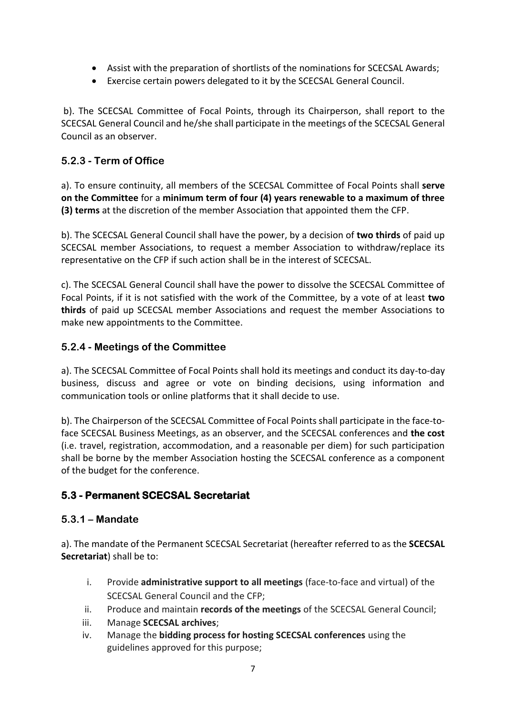- Assist with the preparation of shortlists of the nominations for SCECSAL Awards;
- Exercise certain powers delegated to it by the SCECSAL General Council.

b). The SCECSAL Committee of Focal Points, through its Chairperson, shall report to the SCECSAL General Council and he/she shall participate in the meetings of the SCECSAL General Council as an observer.

#### **5.2.3 - Term of Office**

a). To ensure continuity, all members of the SCECSAL Committee of Focal Points shall **serve on the Committee** for a **minimum term of four (4) years renewable to a maximum of three (3) terms** at the discretion of the member Association that appointed them the CFP.

b). The SCECSAL General Council shall have the power, by a decision of **two thirds** of paid up SCECSAL member Associations, to request a member Association to withdraw/replace its representative on the CFP if such action shall be in the interest of SCECSAL.

c). The SCECSAL General Council shall have the power to dissolve the SCECSAL Committee of Focal Points, if it is not satisfied with the work of the Committee, by a vote of at least **two thirds** of paid up SCECSAL member Associations and request the member Associations to make new appointments to the Committee.

#### **5.2.4 - Meetings of the Committee**

a). The SCECSAL Committee of Focal Points shall hold its meetings and conduct its day-to-day business, discuss and agree or vote on binding decisions, using information and communication tools or online platforms that it shall decide to use.

b). The Chairperson of the SCECSAL Committee of Focal Points shall participate in the face-toface SCECSAL Business Meetings, as an observer, and the SCECSAL conferences and **the cost** (i.e. travel, registration, accommodation, and a reasonable per diem) for such participation shall be borne by the member Association hosting the SCECSAL conference as a component of the budget for the conference.

## **5.3 - Permanent SCECSAL Secretariat**

#### **5.3.1 – Mandate**

a). The mandate of the Permanent SCECSAL Secretariat (hereafter referred to as the **SCECSAL Secretariat**) shall be to:

- i. Provide **administrative support to all meetings** (face-to-face and virtual) of the SCECSAL General Council and the CFP;
- ii. Produce and maintain **records of the meetings** of the SCECSAL General Council;
- iii. Manage **SCECSAL archives**;
- iv. Manage the **bidding process for hosting SCECSAL conferences** using the guidelines approved for this purpose;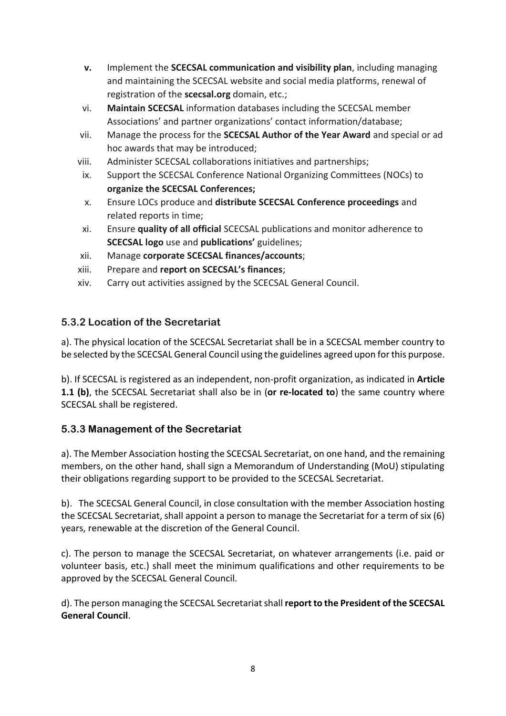- **v.** Implement the **SCECSAL communication and visibility plan**, including managing and maintaining the SCECSAL website and social media platforms, renewal of registration of the **scecsal.org** domain, etc.;
- vi. **Maintain SCECSAL** information databases including the SCECSAL member Associations' and partner organizations' contact information/database;
- vii. Manage the process for the **SCECSAL Author of the Year Award** and special or ad hoc awards that may be introduced;
- viii. Administer SCECSAL collaborations initiatives and partnerships;
- ix. Support the SCECSAL Conference National Organizing Committees (NOCs) to **organize the SCECSAL Conferences;**
- x. Ensure LOCs produce and **distribute SCECSAL Conference proceedings** and related reports in time;
- xi. Ensure **quality of all official** SCECSAL publications and monitor adherence to **SCECSAL logo** use and **publications'** guidelines;
- xii. Manage **corporate SCECSAL finances/accounts**;
- xiii. Prepare and **report on SCECSAL's finances**;
- xiv. Carry out activities assigned by the SCECSAL General Council.

## **5.3.2 Location of the Secretariat**

a). The physical location of the SCECSAL Secretariat shall be in a SCECSAL member country to be selected by the SCECSAL General Council using the guidelines agreed upon for this purpose.

b). If SCECSAL is registered as an independent, non-profit organization, as indicated in **Article 1.1 (b)**, the SCECSAL Secretariat shall also be in (**or re-located to**) the same country where SCECSAL shall be registered.

## **5.3.3 Management of the Secretariat**

a). The Member Association hosting the SCECSAL Secretariat, on one hand, and the remaining members, on the other hand, shall sign a Memorandum of Understanding (MoU) stipulating their obligations regarding support to be provided to the SCECSAL Secretariat.

b). The SCECSAL General Council, in close consultation with the member Association hosting the SCECSAL Secretariat, shall appoint a person to manage the Secretariat for a term of six (6) years, renewable at the discretion of the General Council.

c). The person to manage the SCECSAL Secretariat, on whatever arrangements (i.e. paid or volunteer basis, etc.) shall meet the minimum qualifications and other requirements to be approved by the SCECSAL General Council.

d). The person managing the SCECSAL Secretariatshall **report to the President of the SCECSAL General Council**.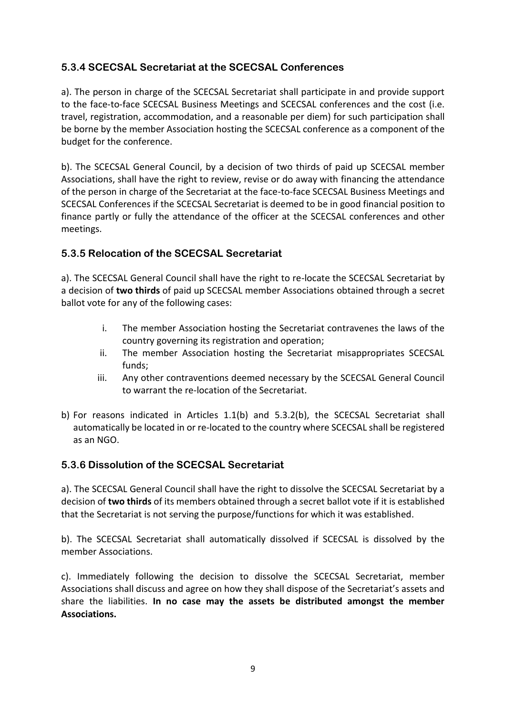#### **5.3.4 SCECSAL Secretariat at the SCECSAL Conferences**

a). The person in charge of the SCECSAL Secretariat shall participate in and provide support to the face-to-face SCECSAL Business Meetings and SCECSAL conferences and the cost (i.e. travel, registration, accommodation, and a reasonable per diem) for such participation shall be borne by the member Association hosting the SCECSAL conference as a component of the budget for the conference.

b). The SCECSAL General Council, by a decision of two thirds of paid up SCECSAL member Associations, shall have the right to review, revise or do away with financing the attendance of the person in charge of the Secretariat at the face-to-face SCECSAL Business Meetings and SCECSAL Conferences if the SCECSAL Secretariat is deemed to be in good financial position to finance partly or fully the attendance of the officer at the SCECSAL conferences and other meetings.

#### **5.3.5 Relocation of the SCECSAL Secretariat**

a). The SCECSAL General Council shall have the right to re-locate the SCECSAL Secretariat by a decision of **two thirds** of paid up SCECSAL member Associations obtained through a secret ballot vote for any of the following cases:

- i. The member Association hosting the Secretariat contravenes the laws of the country governing its registration and operation;
- ii. The member Association hosting the Secretariat misappropriates SCECSAL funds;
- iii. Any other contraventions deemed necessary by the SCECSAL General Council to warrant the re-location of the Secretariat.
- b) For reasons indicated in Articles 1.1(b) and 5.3.2(b), the SCECSAL Secretariat shall automatically be located in or re-located to the country where SCECSAL shall be registered as an NGO.

#### **5.3.6 Dissolution of the SCECSAL Secretariat**

a). The SCECSAL General Council shall have the right to dissolve the SCECSAL Secretariat by a decision of **two thirds** of its members obtained through a secret ballot vote if it is established that the Secretariat is not serving the purpose/functions for which it was established.

b). The SCECSAL Secretariat shall automatically dissolved if SCECSAL is dissolved by the member Associations.

c). Immediately following the decision to dissolve the SCECSAL Secretariat, member Associations shall discuss and agree on how they shall dispose of the Secretariat's assets and share the liabilities. **In no case may the assets be distributed amongst the member Associations.**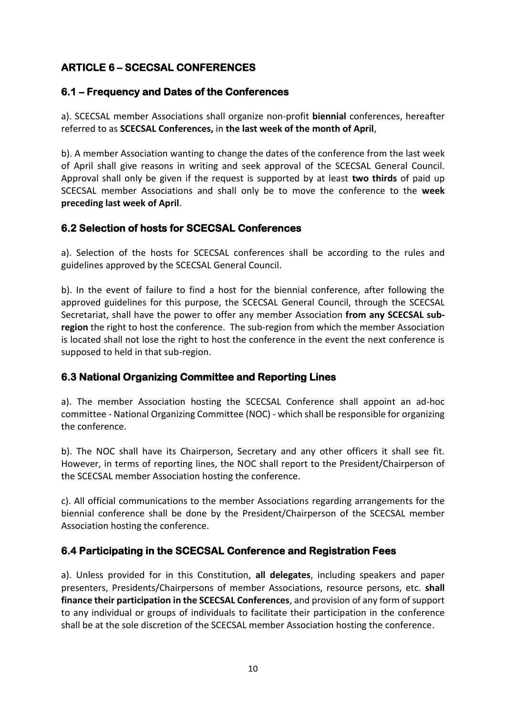# **ARTICLE 6 – SCECSAL CONFERENCES**

#### **6.1 – Frequency and Dates of the Conferences**

a). SCECSAL member Associations shall organize non-profit **biennial** conferences, hereafter referred to as **SCECSAL Conferences,** in **the last week of the month of April**,

b). A member Association wanting to change the dates of the conference from the last week of April shall give reasons in writing and seek approval of the SCECSAL General Council. Approval shall only be given if the request is supported by at least **two thirds** of paid up SCECSAL member Associations and shall only be to move the conference to the **week preceding last week of April**.

#### **6.2 Selection of hosts for SCECSAL Conferences**

a). Selection of the hosts for SCECSAL conferences shall be according to the rules and guidelines approved by the SCECSAL General Council.

b). In the event of failure to find a host for the biennial conference, after following the approved guidelines for this purpose, the SCECSAL General Council, through the SCECSAL Secretariat, shall have the power to offer any member Association **from any SCECSAL subregion** the right to host the conference. The sub-region from which the member Association is located shall not lose the right to host the conference in the event the next conference is supposed to held in that sub-region.

## **6.3 National Organizing Committee and Reporting Lines**

a). The member Association hosting the SCECSAL Conference shall appoint an ad-hoc committee - National Organizing Committee (NOC) - which shall be responsible for organizing the conference.

b). The NOC shall have its Chairperson, Secretary and any other officers it shall see fit. However, in terms of reporting lines, the NOC shall report to the President/Chairperson of the SCECSAL member Association hosting the conference.

c). All official communications to the member Associations regarding arrangements for the biennial conference shall be done by the President/Chairperson of the SCECSAL member Association hosting the conference.

## **6.4 Participating in the SCECSAL Conference and Registration Fees**

a). Unless provided for in this Constitution, **all delegates**, including speakers and paper presenters, Presidents/Chairpersons of member Associations, resource persons, etc. **shall finance their participation in the SCECSAL Conferences**, and provision of any form of support to any individual or groups of individuals to facilitate their participation in the conference shall be at the sole discretion of the SCECSAL member Association hosting the conference.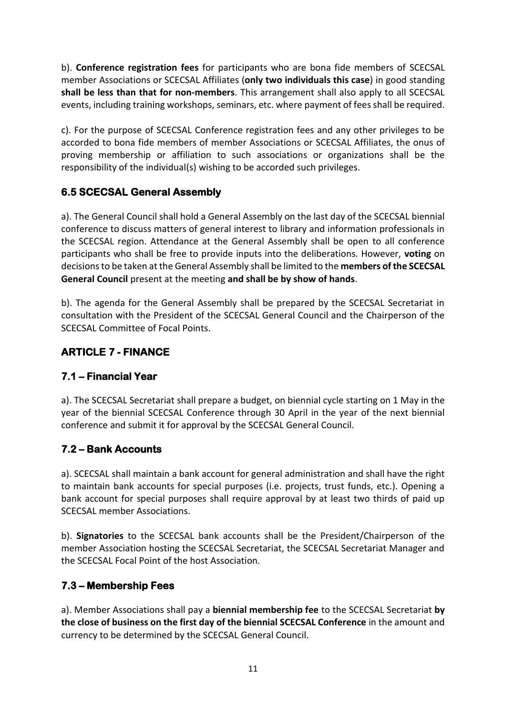b). **Conference registration fees** for participants who are bona fide members of SCECSAL member Associations or SCECSAL Affiliates (**only two individuals this case**) in good standing **shall be less than that for non-members**. This arrangement shall also apply to all SCECSAL events, including training workshops, seminars, etc. where payment of feesshall be required.

c). For the purpose of SCECSAL Conference registration fees and any other privileges to be accorded to bona fide members of member Associations or SCECSAL Affiliates, the onus of proving membership or affiliation to such associations or organizations shall be the responsibility of the individual(s) wishing to be accorded such privileges.

## **6.5 SCECSAL General Assembly**

a). The General Council shall hold a General Assembly on the last day of the SCECSAL biennial conference to discuss matters of general interest to library and information professionals in the SCECSAL region. Attendance at the General Assembly shall be open to all conference participants who shall be free to provide inputs into the deliberations. However, **voting** on decisions to be taken at the General Assembly shall be limited to the **members of the SCECSAL General Council** present at the meeting **and shall be by show of hands**.

b). The agenda for the General Assembly shall be prepared by the SCECSAL Secretariat in consultation with the President of the SCECSAL General Council and the Chairperson of the SCECSAL Committee of Focal Points.

## **ARTICLE 7 - FINANCE**

## **7.1 – Financial Year**

a). The SCECSAL Secretariat shall prepare a budget, on biennial cycle starting on 1 May in the year of the biennial SCECSAL Conference through 30 April in the year of the next biennial conference and submit it for approval by the SCECSAL General Council.

## **7.2 – Bank Accounts**

a). SCECSAL shall maintain a bank account for general administration and shall have the right to maintain bank accounts for special purposes (i.e. projects, trust funds, etc.). Opening a bank account for special purposes shall require approval by at least two thirds of paid up SCECSAL member Associations.

b). **Signatories** to the SCECSAL bank accounts shall be the President/Chairperson of the member Association hosting the SCECSAL Secretariat, the SCECSAL Secretariat Manager and the SCECSAL Focal Point of the host Association.

#### **7.3 – Membership Fees**

a). Member Associations shall pay a **biennial membership fee** to the SCECSAL Secretariat **by the close of business on the first day of the biennial SCECSAL Conference** in the amount and currency to be determined by the SCECSAL General Council.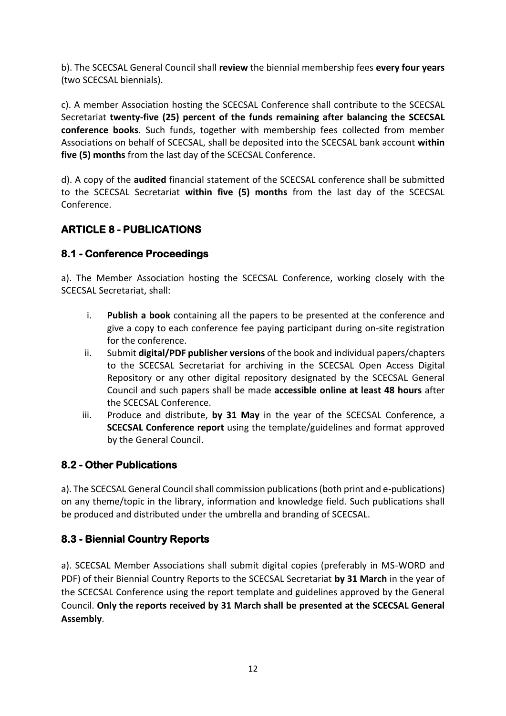b). The SCECSAL General Council shall **review** the biennial membership fees **every four years** (two SCECSAL biennials).

c). A member Association hosting the SCECSAL Conference shall contribute to the SCECSAL Secretariat **twenty-five (25) percent of the funds remaining after balancing the SCECSAL conference books**. Such funds, together with membership fees collected from member Associations on behalf of SCECSAL, shall be deposited into the SCECSAL bank account **within five (5) months** from the last day of the SCECSAL Conference.

d). A copy of the **audited** financial statement of the SCECSAL conference shall be submitted to the SCECSAL Secretariat **within five (5) months** from the last day of the SCECSAL Conference.

# **ARTICLE 8 - PUBLICATIONS**

#### **8.1 - Conference Proceedings**

a). The Member Association hosting the SCECSAL Conference, working closely with the SCECSAL Secretariat, shall:

- i. **Publish a book** containing all the papers to be presented at the conference and give a copy to each conference fee paying participant during on-site registration for the conference.
- ii. Submit **digital/PDF publisher versions** of the book and individual papers/chapters to the SCECSAL Secretariat for archiving in the SCECSAL Open Access Digital Repository or any other digital repository designated by the SCECSAL General Council and such papers shall be made **accessible online at least 48 hours** after the SCECSAL Conference.
- iii. Produce and distribute, **by 31 May** in the year of the SCECSAL Conference, a **SCECSAL Conference report** using the template/guidelines and format approved by the General Council.

## **8.2 - Other Publications**

a). The SCECSAL General Council shall commission publications(both print and e-publications) on any theme/topic in the library, information and knowledge field. Such publications shall be produced and distributed under the umbrella and branding of SCECSAL.

#### **8.3 - Biennial Country Reports**

a). SCECSAL Member Associations shall submit digital copies (preferably in MS-WORD and PDF) of their Biennial Country Reports to the SCECSAL Secretariat **by 31 March** in the year of the SCECSAL Conference using the report template and guidelines approved by the General Council. **Only the reports received by 31 March shall be presented at the SCECSAL General Assembly**.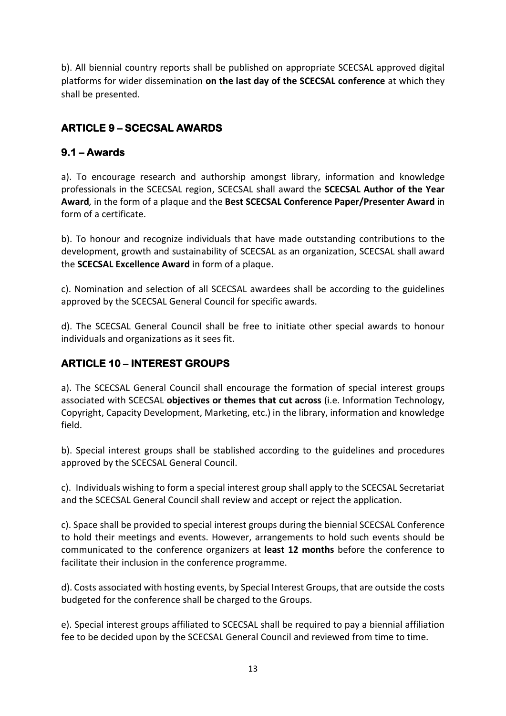b). All biennial country reports shall be published on appropriate SCECSAL approved digital platforms for wider dissemination **on the last day of the SCECSAL conference** at which they shall be presented.

# **ARTICLE 9 – SCECSAL AWARDS**

## **9.1 – Awards**

a). To encourage research and authorship amongst library, information and knowledge professionals in the SCECSAL region, SCECSAL shall award the **SCECSAL Author of the Year Award***,* in the form of a plaque and the **Best SCECSAL Conference Paper/Presenter Award** in form of a certificate.

b). To honour and recognize individuals that have made outstanding contributions to the development, growth and sustainability of SCECSAL as an organization, SCECSAL shall award the **SCECSAL Excellence Award** in form of a plaque.

c). Nomination and selection of all SCECSAL awardees shall be according to the guidelines approved by the SCECSAL General Council for specific awards.

d). The SCECSAL General Council shall be free to initiate other special awards to honour individuals and organizations as it sees fit.

## **ARTICLE 10 – INTEREST GROUPS**

a). The SCECSAL General Council shall encourage the formation of special interest groups associated with SCECSAL **objectives or themes that cut across** (i.e. Information Technology, Copyright, Capacity Development, Marketing, etc.) in the library, information and knowledge field.

b). Special interest groups shall be stablished according to the guidelines and procedures approved by the SCECSAL General Council.

c). Individuals wishing to form a special interest group shall apply to the SCECSAL Secretariat and the SCECSAL General Council shall review and accept or reject the application.

c). Space shall be provided to special interest groups during the biennial SCECSAL Conference to hold their meetings and events. However, arrangements to hold such events should be communicated to the conference organizers at **least 12 months** before the conference to facilitate their inclusion in the conference programme.

d). Costs associated with hosting events, by Special Interest Groups, that are outside the costs budgeted for the conference shall be charged to the Groups.

e). Special interest groups affiliated to SCECSAL shall be required to pay a biennial affiliation fee to be decided upon by the SCECSAL General Council and reviewed from time to time.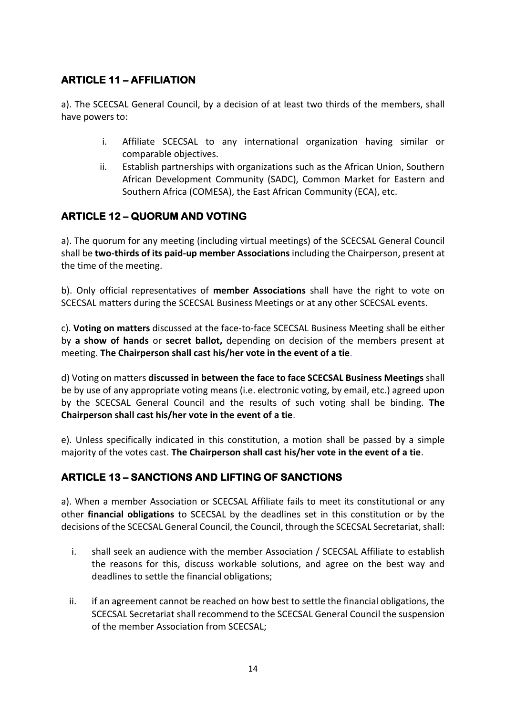## **ARTICLE 11 – AFFILIATION**

a). The SCECSAL General Council, by a decision of at least two thirds of the members, shall have powers to:

- i. Affiliate SCECSAL to any international organization having similar or comparable objectives.
- ii. Establish partnerships with organizations such as the African Union, Southern African Development Community (SADC), Common Market for Eastern and Southern Africa (COMESA), the East African Community (ECA), etc.

## **ARTICLE 12 – QUORUM AND VOTING**

a). The quorum for any meeting (including virtual meetings) of the SCECSAL General Council shall be **two-thirds of its paid-up member Associations** including the Chairperson, present at the time of the meeting.

b). Only official representatives of **member Associations** shall have the right to vote on SCECSAL matters during the SCECSAL Business Meetings or at any other SCECSAL events.

c). **Voting on matters** discussed at the face-to-face SCECSAL Business Meeting shall be either by **a show of hands** or **secret ballot,** depending on decision of the members present at meeting. **The Chairperson shall cast his/her vote in the event of a tie**.

d) Voting on matters **discussed in between the face to face SCECSAL Business Meetings** shall be by use of any appropriate voting means (i.e. electronic voting, by email, etc.) agreed upon by the SCECSAL General Council and the results of such voting shall be binding. **The Chairperson shall cast his/her vote in the event of a tie**.

e). Unless specifically indicated in this constitution, a motion shall be passed by a simple majority of the votes cast. **The Chairperson shall cast his/her vote in the event of a tie**.

## **ARTICLE 13 – SANCTIONS AND LIFTING OF SANCTIONS**

a). When a member Association or SCECSAL Affiliate fails to meet its constitutional or any other **financial obligations** to SCECSAL by the deadlines set in this constitution or by the decisions of the SCECSAL General Council, the Council, through the SCECSAL Secretariat, shall:

- i. shall seek an audience with the member Association / SCECSAL Affiliate to establish the reasons for this, discuss workable solutions, and agree on the best way and deadlines to settle the financial obligations;
- ii. if an agreement cannot be reached on how best to settle the financial obligations, the SCECSAL Secretariat shall recommend to the SCECSAL General Council the suspension of the member Association from SCECSAL;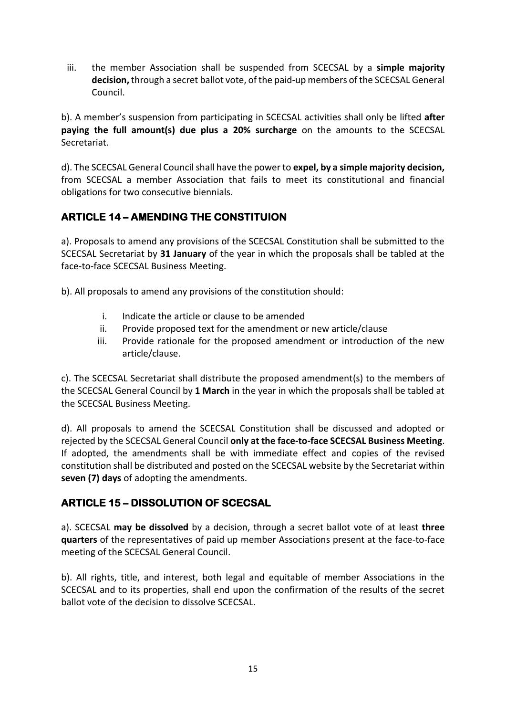iii. the member Association shall be suspended from SCECSAL by a **simple majority decision,** through a secret ballot vote, of the paid-up members of the SCECSAL General Council.

b). A member's suspension from participating in SCECSAL activities shall only be lifted **after paying the full amount(s) due plus a 20% surcharge** on the amounts to the SCECSAL Secretariat.

d). The SCECSAL General Council shall have the power to **expel, by a simple majority decision,**  from SCECSAL a member Association that fails to meet its constitutional and financial obligations for two consecutive biennials.

# **ARTICLE 14 – AMENDING THE CONSTITUION**

a). Proposals to amend any provisions of the SCECSAL Constitution shall be submitted to the SCECSAL Secretariat by **31 January** of the year in which the proposals shall be tabled at the face-to-face SCECSAL Business Meeting.

b). All proposals to amend any provisions of the constitution should:

- i. Indicate the article or clause to be amended
- ii. Provide proposed text for the amendment or new article/clause
- iii. Provide rationale for the proposed amendment or introduction of the new article/clause.

c). The SCECSAL Secretariat shall distribute the proposed amendment(s) to the members of the SCECSAL General Council by **1 March** in the year in which the proposals shall be tabled at the SCECSAL Business Meeting.

d). All proposals to amend the SCECSAL Constitution shall be discussed and adopted or rejected by the SCECSAL General Council **only at the face-to-face SCECSAL Business Meeting**. If adopted, the amendments shall be with immediate effect and copies of the revised constitution shall be distributed and posted on the SCECSAL website by the Secretariat within **seven (7) days** of adopting the amendments.

# **ARTICLE 15 – DISSOLUTION OF SCECSAL**

a). SCECSAL **may be dissolved** by a decision, through a secret ballot vote of at least **three quarters** of the representatives of paid up member Associations present at the face-to-face meeting of the SCECSAL General Council.

b). All rights, title, and interest, both legal and equitable of member Associations in the SCECSAL and to its properties, shall end upon the confirmation of the results of the secret ballot vote of the decision to dissolve SCECSAL.